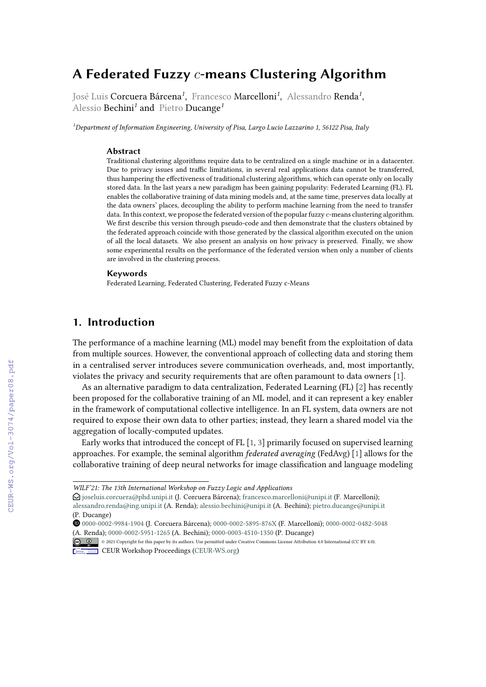# **A Federated Fuzzy -means Clustering Algorithm**

José Luis **Corcuera Bárcena<sup>1</sup>, F**rancesco **Marcelloni<sup>1</sup>, Al**essandro **Renda<sup>1</sup>,** Alessio Bechini*<sup>1</sup>* and Pietro Ducange*<sup>1</sup>*

*<sup>1</sup>Department of Information Engineering, University of Pisa, Largo Lucio Lazzarino 1, 56122 Pisa, Italy*

### **Abstract**

Traditional clustering algorithms require data to be centralized on a single machine or in a datacenter. Due to privacy issues and traffic limitations, in several real applications data cannot be transferred, thus hampering the effectiveness of traditional clustering algorithms, which can operate only on locally stored data. In the last years a new paradigm has been gaining popularity: Federated Learning (FL). FL enables the collaborative training of data mining models and, at the same time, preserves data locally at the data owners' places, decoupling the ability to perform machine learning from the need to transfer data. In this context, we propose the federated version of the popular fuzzy  $c$ -means clustering algorithm. We first describe this version through pseudo-code and then demonstrate that the clusters obtained by the federated approach coincide with those generated by the classical algorithm executed on the union of all the local datasets. We also present an analysis on how privacy is preserved. Finally, we show some experimental results on the performance of the federated version when only a number of clients are involved in the clustering process.

#### **Keywords**

Federated Learning, Federated Clustering, Federated Fuzzy c-Means

## **1. Introduction**

The performance of a machine learning (ML) model may benefit from the exploitation of data from multiple sources. However, the conventional approach of collecting data and storing them in a centralised server introduces severe communication overheads, and, most importantly, violates the privacy and security requirements that are often paramount to data owners [\[1\]](#page--1-0).

As an alternative paradigm to data centralization, Federated Learning (FL) [\[2\]](#page--1-1) has recently been proposed for the collaborative training of an ML model, and it can represent a key enabler in the framework of computational collective intelligence. In an FL system, data owners are not required to expose their own data to other parties; instead, they learn a shared model via the aggregation of locally-computed updates.

Early works that introduced the concept of FL [\[1,](#page--1-0) [3\]](#page--1-2) primarily focused on supervised learning approaches. For example, the seminal algorithm *federated averaging* (FedAvg) [\[1\]](#page--1-0) allows for the collaborative training of deep neural networks for image classification and language modeling

*WILF'21: The 13th International Workshop on Fuzzy Logic and Applications*

 $\Theta$  [joseluis.corcuera@phd.unipi.it](mailto:joseluis.corcuera@phd.unipi.it) (J. Corcuera Bárcena); [francesco.marcelloni@unipi.it](mailto:francesco.marcelloni@unipi.it) (F. Marcelloni);

[alessandro.renda@ing.unipi.it](mailto:alessandro.renda@ing.unipi.it) (A. Renda); [alessio.bechini@unipi.it](mailto:alessio.bechini@unipi.it) (A. Bechini); [pietro.ducange@unipi.it](mailto:pietro.ducange@unipi.it) (P. Ducange)

[0000-0002-9984-1904](https://orcid.org/0000-0002-9984-1904) (J. Corcuera Bárcena); [0000-0002-5895-876X](https://orcid.org/0000-0002-5895-876X) (F. Marcelloni); [0000-0002-0482-5048](https://orcid.org/0000-0002-0482-5048) [\(A. Rend](https://creativecommons.org/licenses/by/4.0)a); [0000-0002-5951-1265](https://orcid.org/0000-0002-5951-1265) (A. Bechini); [0000-0003-4510-1350](https://orcid.org/0000-0003-4510-1350) (P. Ducange)

<sup>©</sup> 2021 Copyright for this paper by its authors. Use permitted under Creative Commons License Attribution 4.0 International (CC BY 4.0). **CEUR Workshop [Proceedings](http://ceur-ws.org) [\(CEUR-WS.org\)](http://ceur-ws.org)**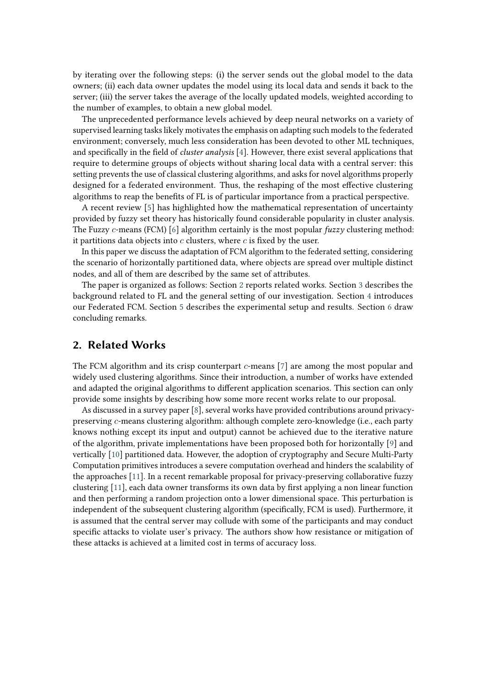by iterating over the following steps: (i) the server sends out the global model to the data owners; (ii) each data owner updates the model using its local data and sends it back to the server; (iii) the server takes the average of the locally updated models, weighted according to the number of examples, to obtain a new global model.

The unprecedented performance levels achieved by deep neural networks on a variety of supervised learning tasks likely motivates the emphasis on adapting such models to the federated environment; conversely, much less consideration has been devoted to other ML techniques, and specifically in the field of *cluster analysis* [\[4\]](#page-8-0). However, there exist several applications that require to determine groups of objects without sharing local data with a central server: this setting prevents the use of classical clustering algorithms, and asks for novel algorithms properly designed for a federated environment. Thus, the reshaping of the most effective clustering algorithms to reap the benefits of FL is of particular importance from a practical perspective.

A recent review [\[5\]](#page-8-1) has highlighted how the mathematical representation of uncertainty provided by fuzzy set theory has historically found considerable popularity in cluster analysis. The Fuzzy c-means (FCM) [\[6\]](#page-8-2) algorithm certainly is the most popular *fuzzy* clustering method: it partitions data objects into  $c$  clusters, where  $c$  is fixed by the user.

In this paper we discuss the adaptation of FCM algorithm to the federated setting, considering the scenario of horizontally partitioned data, where objects are spread over multiple distinct nodes, and all of them are described by the same set of attributes.

The paper is organized as follows: Section [2](#page-1-0) reports related works. Section [3](#page-2-0) describes the background related to FL and the general setting of our investigation. Section [4](#page-3-0) introduces our Federated FCM. Section [5](#page-6-0) describes the experimental setup and results. Section [6](#page-7-0) draw concluding remarks.

### <span id="page-1-0"></span>**2. Related Works**

The FCM algorithm and its crisp counterpart  $c$ -means [\[7\]](#page-8-3) are among the most popular and widely used clustering algorithms. Since their introduction, a number of works have extended and adapted the original algorithms to different application scenarios. This section can only provide some insights by describing how some more recent works relate to our proposal.

As discussed in a survey paper [\[8\]](#page-8-4), several works have provided contributions around privacypreserving c-means clustering algorithm: although complete zero-knowledge (i.e., each party knows nothing except its input and output) cannot be achieved due to the iterative nature of the algorithm, private implementations have been proposed both for horizontally [\[9\]](#page-8-5) and vertically [\[10\]](#page-8-6) partitioned data. However, the adoption of cryptography and Secure Multi-Party Computation primitives introduces a severe computation overhead and hinders the scalability of the approaches [\[11\]](#page-8-7). In a recent remarkable proposal for privacy-preserving collaborative fuzzy clustering [\[11\]](#page-8-7), each data owner transforms its own data by first applying a non linear function and then performing a random projection onto a lower dimensional space. This perturbation is independent of the subsequent clustering algorithm (specifically, FCM is used). Furthermore, it is assumed that the central server may collude with some of the participants and may conduct specific attacks to violate user's privacy. The authors show how resistance or mitigation of these attacks is achieved at a limited cost in terms of accuracy loss.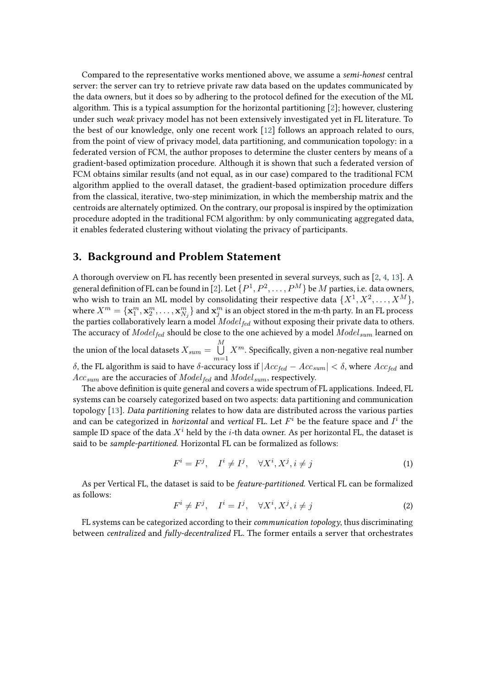Compared to the representative works mentioned above, we assume a *semi-honest* central server: the server can try to retrieve private raw data based on the updates communicated by the data owners, but it does so by adhering to the protocol defined for the execution of the ML algorithm. This is a typical assumption for the horizontal partitioning [\[2\]](#page-8-8); however, clustering under such *weak* privacy model has not been extensively investigated yet in FL literature. To the best of our knowledge, only one recent work [\[12\]](#page-8-9) follows an approach related to ours, from the point of view of privacy model, data partitioning, and communication topology: in a federated version of FCM, the author proposes to determine the cluster centers by means of a gradient-based optimization procedure. Although it is shown that such a federated version of FCM obtains similar results (and not equal, as in our case) compared to the traditional FCM algorithm applied to the overall dataset, the gradient-based optimization procedure differs from the classical, iterative, two-step minimization, in which the membership matrix and the centroids are alternately optimized. On the contrary, our proposal is inspired by the optimization procedure adopted in the traditional FCM algorithm: by only communicating aggregated data, it enables federated clustering without violating the privacy of participants.

## <span id="page-2-0"></span>**3. Background and Problem Statement**

A thorough overview on FL has recently been presented in several surveys, such as [\[2,](#page-8-8) [4,](#page-8-0) [13\]](#page-8-10). A general definition of FL can be found in [\[2\]](#page-8-8). Let  $\{P^1, P^2, \ldots, P^M\}$  be  $M$  parties, i.e. data owners, who wish to train an ML model by consolidating their respective data  $\{X^1, X^2, \ldots, X^M\},$ where  $X^m=\{{\bf x}_1^m,{\bf x}_2^m,\ldots,{\bf x}_{N_j}^m\}$  and  ${\bf x}_j^m$  is an object stored in the m-th party. In an FL process the parties collaboratively learn a model  $Model_{fed}$  without exposing their private data to others. The accuracy of  $Model_{fed}$  should be close to the one achieved by a model  $Model_{sum}$  learned on the union of the local datasets  $X_{sum}=\stackrel{M}{\bigcup}$  $m=1$  $X^m$ . Specifically, given a non-negative real number  $\delta,$  the FL algorithm is said to have  $\delta$ -accuracy loss if  $|Acc_{fed} - Acc_{sum}| < \delta,$  where  $Acc_{fed}$  and  $Acc_{sum}$  are the accuracies of  $Model_{fed}$  and  $Model_{sum}$  , respectively.

The above definition is quite general and covers a wide spectrum of FL applications. Indeed, FL systems can be coarsely categorized based on two aspects: data partitioning and communication topology [\[13\]](#page-8-10). *Data partitioning* relates to how data are distributed across the various parties and can be categorized in *horizontal* and *vertical* FL. Let  $F^i$  be the feature space and  $I^i$  the sample ID space of the data  $X^i$  held by the *i*-th data owner. As per horizontal FL, the dataset is said to be *sample-partitioned*. Horizontal FL can be formalized as follows:

$$
F^i = F^j, \quad I^i \neq I^j, \quad \forall X^i, X^j, i \neq j \tag{1}
$$

As per Vertical FL, the dataset is said to be *feature-partitioned*. Vertical FL can be formalized as follows:

$$
F^i \neq F^j, \quad I^i = I^j, \quad \forall X^i, X^j, i \neq j \tag{2}
$$

FL systems can be categorized according to their *communication topology*, thus discriminating between *centralized* and *fully-decentralized* FL. The former entails a server that orchestrates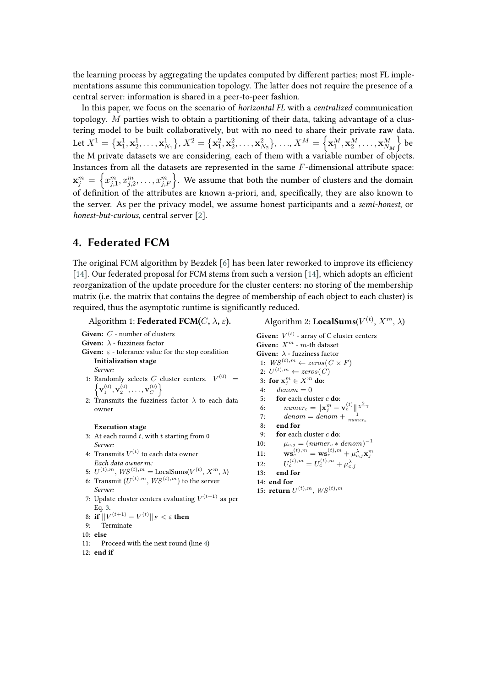the learning process by aggregating the updates computed by different parties; most FL implementations assume this communication topology. The latter does not require the presence of a central server: information is shared in a peer-to-peer fashion.

In this paper, we focus on the scenario of *horizontal FL* with a *centralized* communication topology. M parties wish to obtain a partitioning of their data, taking advantage of a clustering model to be built collaboratively, but with no need to share their private raw data.  ${\rm Let}\ X^1=\big\{{\bf x}_1^1,{\bf x}_2^1,\ldots,{\bf x}_{N_1}^1\big\},$   $X^2=\big\{{\bf x}_1^2,{\bf x}_2^2,\ldots,{\bf x}_{N_2}^2\big\},$   $\ldots$ ,  $X^M=\left\{{\bf x}_1^M,{\bf x}_2^M,\ldots,{\bf x}_{N_M}^M\right\}$  be the M private datasets we are considering, each of them with a variable number of objects. Instances from all the datasets are represented in the same  $F$ -dimensional attribute space:  $\mathbf{x}_j^m \,=\, \left\{x_{j,1}^m,x_{j,2}^m,\ldots,x_{j,F}^m\right\}$ . We assume that both the number of clusters and the domain of definition of the attributes are known a-priori, and, specifically, they are also known to the server. As per the privacy model, we assume honest participants and a *semi-honest*, or *honest-but-curious*, central server [\[2\]](#page-8-8).

## <span id="page-3-0"></span>**4. Federated FCM**

The original FCM algorithm by Bezdek [\[6\]](#page-8-2) has been later reworked to improve its efficiency [\[14\]](#page-8-11). Our federated proposal for FCM stems from such a version [14], which adopts an efficient reorganization of the update procedure for the cluster centers: no storing of the membership matrix (i.e. the matrix that contains the degree of membership of each object to each cluster) is required, thus the asymptotic runtime is significantly reduced.

<span id="page-3-1"></span>Algorithm 1: **Federated FCM(** $C$ ,  $\lambda$ ,  $\varepsilon$ ).

Given: C - number of clusters **Given:**  $\lambda$  - fuzziness factor

Given:  $\varepsilon$  - tolerance value for the stop condition **Initialization stage**

*Server:*

- 1: Randomly selects *C* cluster centers.  $V^{(0)} = \int_{V^{(0)}} V^{(0)}(V^{(0)} V^{(0)})$  $\left\{ \mathbf{v}_{1}^{(0)},\mathbf{v}_{2}^{(0)},\ldots,\mathbf{v}_{C}^{(0)}\right\}$
- 2: Transmits the fuzziness factor  $\lambda$  to each data owner

#### **Execution stage**

- 3: At each round  $t$ , with  $t$  starting from 0 *Server:*
- 4: Transmits  $V^{(t)}$  to each data owner *Each data owner*  $m$ :
- 5:  $U^{(t),m}$ ,  $WS^{(t),m} =$  LocalSums $(V^{(t)}, X^m, \lambda)$
- 6: Transmit  $(U^{(t),m},\mathcal{W}S^{(t),m})$  to the server *Server:*
- 7: Update cluster centers evaluating  $V^{(t+1)}$  as per Eq. [3.](#page-4-0)
- 8: **if**  $||V^{(t+1)} V^{(t)}||_F < \varepsilon$  then
- 9: Terminate
- 10: **else**
- 11: Proceed with the next round (line [4\)](#page-3-1)
- $12$  **end if**

<span id="page-3-2"></span>Algorithm 2: LocalSums( $V^{(t)}, X^{m}, \lambda$ )

**Given:**  $V^{(t)}$  - array of C cluster centers **Given:**  $X^m$  -  $m$ -th dataset **Given:**  $\lambda$  - fuzziness factor 1:  $WS^{(t), m} \leftarrow zeros(C \times F)$ 2:  $U^{(t),m} \leftarrow zeros(C)$ 3: **for**  $\mathbf{x}_j^m \in X^m$  do: 4:  $denom = 0$ 5: **for** each cluster **do**: 6:  $numer_c = ||\mathbf{x}_j^m - \mathbf{v}_c^{(t)}||^{\frac{2}{\lambda - 1}}$ 7: denom = denom +  $\frac{1}{numer_c}$ 8: **end for** 9: **for** each cluster **do**: 10:  $\mu_{c,j} = (numer_c * denom)^{-1}$ 11:  $\mathbf{ws}_c^{(t),m} = \mathbf{ws}_c^{(t),m} + \mu_{c,j}^{\lambda} \mathbf{x}_j^m$ 12:  $c^{(t),m} = U_c^{(t),m} + \mu_{c,j}^{\lambda}$ 13: **end for** 14: **end for** 15: **return**  $U^{(t),m}$ ,  $WS^{(t),m}$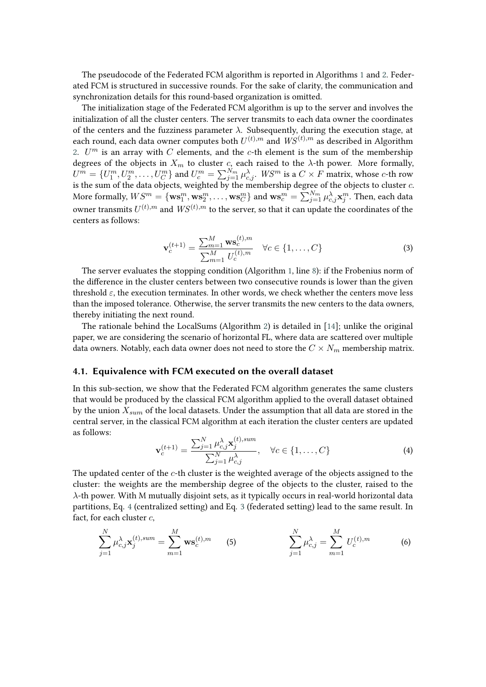The pseudocode of the Federated FCM algorithm is reported in Algorithms [1](#page-3-1) and [2.](#page-3-2) Federated FCM is structured in successive rounds. For the sake of clarity, the communication and synchronization details for this round-based organization is omitted.

The initialization stage of the Federated FCM algorithm is up to the server and involves the initialization of all the cluster centers. The server transmits to each data owner the coordinates of the centers and the fuzziness parameter  $\lambda$ . Subsequently, during the execution stage, at each round, each data owner computes both  $U^{(t),m}$  and  $\mathit{WS}^{(t),m}$  as described in Algorithm [2.](#page-3-2)  $U^m$  is an array with  $C$  elements, and the  $c$ -th element is the sum of the membership degrees of the objects in  $X_m$  to cluster c, each raised to the  $\lambda$ -th power. More formally,  $U^m=\{U^m_1,U^m_2,\ldots,U^m_C\}$  and  $U^m_c=\sum_{j=1}^{N_m}\mu_{c,j}^{\lambda}$ .  $WS^m$  is a  $C\times F$  matrix, whose  $c$ -th row is the sum of the data objects, weighted by the membership degree of the objects to cluster  $c$ . More formally,  $WS^m = \{ \mathbf{ws}^m_1, \mathbf{ws}^m_2, \dots, \mathbf{ws}^m_C \}$  and  $\mathbf{ws}^m_c = \sum_{j=1}^{N_m} \mu_{c,j}^{\lambda} \mathbf{x}^m_j.$  Then, each data owner transmits  $U^{(t),m}$  and  $WS^{(t),m}$  to the server, so that it can update the coordinates of the centers as follows:

<span id="page-4-0"></span>
$$
\mathbf{v}_c^{(t+1)} = \frac{\sum_{m=1}^M \mathbf{w} \mathbf{s}_c^{(t),m}}{\sum_{m=1}^M U_c^{(t),m}} \quad \forall c \in \{1, \dots, C\}
$$
(3)

The server evaluates the stopping condition (Algorithm [1,](#page-3-1) line [8\)](#page-3-1): if the Frobenius norm of the difference in the cluster centers between two consecutive rounds is lower than the given threshold  $\varepsilon$ , the execution terminates. In other words, we check whether the centers move less than the imposed tolerance. Otherwise, the server transmits the new centers to the data owners, thereby initiating the next round.

The rationale behind the LocalSums (Algorithm [2\)](#page-3-2) is detailed in [\[14\]](#page-8-11); unlike the original paper, we are considering the scenario of horizontal FL, where data are scattered over multiple data owners. Notably, each data owner does not need to store the  $C \times N_m$  membership matrix.

### <span id="page-4-2"></span>**4.1. Equivalence with FCM executed on the overall dataset**

In this sub-section, we show that the Federated FCM algorithm generates the same clusters that would be produced by the classical FCM algorithm applied to the overall dataset obtained by the union  $X_{sum}$  of the local datasets. Under the assumption that all data are stored in the central server, in the classical FCM algorithm at each iteration the cluster centers are updated as follows:

<span id="page-4-1"></span>
$$
\mathbf{v}_c^{(t+1)} = \frac{\sum_{j=1}^N \mu_{c,j}^{\lambda} \mathbf{x}_j^{(t),sum}}{\sum_{j=1}^N \mu_{c,j}^{\lambda}}, \quad \forall c \in \{1, ..., C\}
$$
(4)

The updated center of the  $c$ -th cluster is the weighted average of the objects assigned to the cluster: the weights are the membership degree of the objects to the cluster, raised to the  $\lambda$ -th power. With M mutually disjoint sets, as it typically occurs in real-world horizontal data partitions, Eq. [4](#page-4-1) (centralized setting) and Eq. [3](#page-4-0) (federated setting) lead to the same result. In fact, for each cluster  $c$ ,

$$
\sum_{j=1}^{N} \mu_{c,j}^{\lambda} \mathbf{x}_{j}^{(t),sum} = \sum_{m=1}^{M} \mathbf{ws}_{c}^{(t),m} \qquad (5) \qquad \qquad \sum_{j=1}^{N} \mu_{c,j}^{\lambda} = \sum_{m=1}^{M} U_{c}^{(t),m} \qquad (6)
$$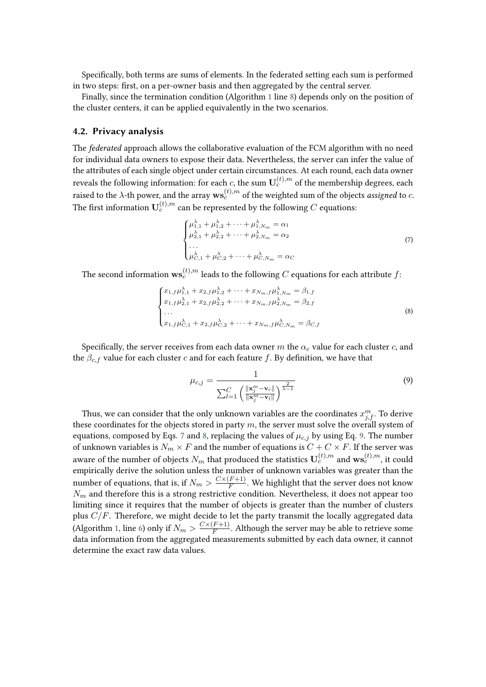Specifically, both terms are sums of elements. In the federated setting each sum is performed in two steps: first, on a per-owner basis and then aggregated by the central server.

Finally, since the termination condition (Algorithm [1](#page-3-1) line [8\)](#page-3-1) depends only on the position of the cluster centers, it can be applied equivalently in the two scenarios.

### **4.2. Privacy analysis**

The *federated* approach allows the collaborative evaluation of the FCM algorithm with no need for individual data owners to expose their data. Nevertheless, the server can infer the value of the attributes of each single object under certain circumstances. At each round, each data owner reveals the following information: for each  $c$ , the sum  $\mathbf{U}_c^{(t),m}$  of the membership degrees, each raised to the  $\lambda$ -th power, and the array  $\mathbf{w}\mathbf{s}_{c}^{(t),m}$  of the weighted sum of the objects *assigned* to  $c$ . The first information  $\mathbf{U}^{(t),m}_c$  can be represented by the following  $C$  equations:

<span id="page-5-0"></span>
$$
\begin{cases}\n\mu_{1,1}^{\lambda} + \mu_{1,2}^{\lambda} + \dots + \mu_{1,N_m}^{\lambda} = \alpha_1 \\
\mu_{2,1}^{\lambda} + \mu_{2,2}^{\lambda} + \dots + \mu_{2,N_m}^{\lambda} = \alpha_2 \\
\dots \\
\mu_{C,1}^{\lambda} + \mu_{C,2}^{\lambda} + \dots + \mu_{C,N_m}^{\lambda} = \alpha_C\n\end{cases} (7)
$$

The second information  $\mathbf{ws}^{(t),m}_c$  leads to the following  $C$  equations for each attribute  $f$ :

<span id="page-5-1"></span>
$$
\begin{cases}\nx_{1,f}\mu_{1,1}^{\lambda} + x_{2,f}\mu_{1,2}^{\lambda} + \cdots + x_{N_m,f}\mu_{1,N_m}^{\lambda} = \beta_{1,f} \\
x_{1,f}\mu_{2,1}^{\lambda} + x_{2,f}\mu_{2,2}^{\lambda} + \cdots + x_{N_m,f}\mu_{2,N_m}^{\lambda} = \beta_{2,f} \\
\dots \\
x_{1,f}\mu_{C,1}^{\lambda} + x_{2,f}\mu_{C,2}^{\lambda} + \cdots + x_{N_m,f}\mu_{C,N_m}^{\lambda} = \beta_{C,f}\n\end{cases}
$$
\n(8)

Specifically, the server receives from each data owner  $m$  the  $\alpha_c$  value for each cluster  $c$ , and the  $\beta_{c,f}$  value for each cluster c and for each feature f. By definition, we have that

<span id="page-5-2"></span>
$$
\mu_{c,j} = \frac{1}{\sum_{l=1}^{C} \left( \frac{\|\mathbf{x}_j^m - \mathbf{v}_c\|}{\|\mathbf{x}_j^m - \mathbf{v}_l\|} \right)^{\frac{2}{\lambda - 1}}} \tag{9}
$$

Thus, we can consider that the only unknown variables are the coordinates  $x_{j,f}^m$ . To derive these coordinates for the objects stored in party  $m$ , the server must solve the overall system of equations, composed by Eqs. [7](#page-5-0) and [8,](#page-5-1) replacing the values of  $\mu_{c,i}$  by using Eq. [9.](#page-5-2) The number of unknown variables is  $N_m \times F$  and the number of equations is  $C + C \times F$ . If the server was aware of the number of objects  $N_m$  that produced the statistics  $\mathbf{U}_c^{(t),m}$  and  $\mathbf{ws}_c^{(t),m}$ , it could empirically derive the solution unless the number of unknown variables was greater than the number of equations, that is, if  $N_m > \frac{C \times (F+1)}{F}$  $\frac{(F+1)}{F}$ . We highlight that the server does not know  $N_m$  and therefore this is a strong restrictive condition. Nevertheless, it does not appear too limiting since it requires that the number of objects is greater than the number of clusters plus  $C/F$ . Therefore, we might decide to let the party transmit the locally aggregated data (Algorithm [1,](#page-3-1) line [6\)](#page-3-1) only if  $N_m > \frac{C \times (F+1)}{F}$  $\frac{(F+1)}{F}$ . Although the server may be able to retrieve some data information from the aggregated measurements submitted by each data owner, it cannot determine the exact raw data values.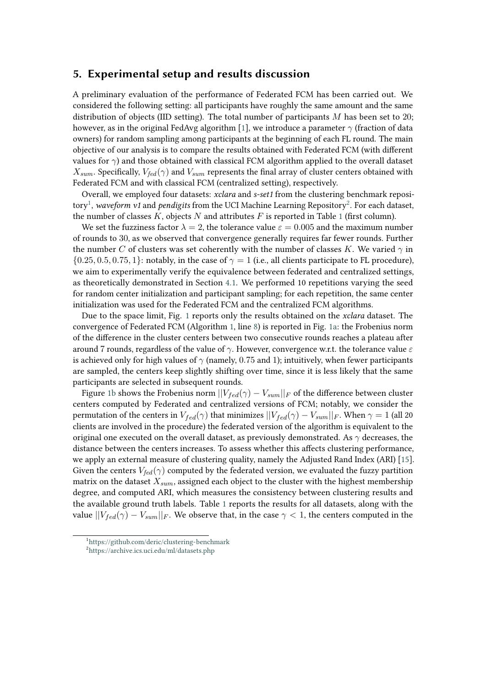### <span id="page-6-0"></span>**5. Experimental setup and results discussion**

A preliminary evaluation of the performance of Federated FCM has been carried out. We considered the following setting: all participants have roughly the same amount and the same distribution of objects (IID setting). The total number of participants  $M$  has been set to 20; however, as in the original FedAvg algorithm [\[1\]](#page-8-12), we introduce a parameter  $\gamma$  (fraction of data owners) for random sampling among participants at the beginning of each FL round. The main objective of our analysis is to compare the results obtained with Federated FCM (with different values for  $\gamma$ ) and those obtained with classical FCM algorithm applied to the overall dataset  $X_{sum}$ . Specifically,  $V_{fed}(\gamma)$  and  $V_{sum}$  represents the final array of cluster centers obtained with Federated FCM and with classical FCM (centralized setting), respectively.

Overall, we employed four datasets: *xclara* and *s-set1* from the clustering benchmark reposi-tory<sup>[1](#page-6-1)</sup>, *waveform v1* and *pendigits* from the UCI Machine Learning Repository<sup>[2](#page-6-2)</sup>. For each dataset, the number of classes  $K$ , objects  $N$  and attributes  $F$  is reported in Table [1](#page-7-1) (first column).

We set the fuzziness factor  $\lambda = 2$ , the tolerance value  $\varepsilon = 0.005$  and the maximum number of rounds to 30, as we observed that convergence generally requires far fewer rounds. Further the number C of clusters was set coherently with the number of classes K. We varied  $\gamma$  in  $\{0.25, 0.5, 0.75, 1\}$ : notably, in the case of  $\gamma = 1$  (i.e., all clients participate to FL procedure), we aim to experimentally verify the equivalence between federated and centralized settings, as theoretically demonstrated in Section [4.1.](#page-4-2) We performed 10 repetitions varying the seed for random center initialization and participant sampling; for each repetition, the same center initialization was used for the Federated FCM and the centralized FCM algorithms.

Due to the space limit, Fig. [1](#page-7-2) reports only the results obtained on the *xclara* dataset. The convergence of Federated FCM (Algorithm [1,](#page-3-1) line [8\)](#page-3-1) is reported in Fig. [1a:](#page-7-3) the Frobenius norm of the difference in the cluster centers between two consecutive rounds reaches a plateau after around 7 rounds, regardless of the value of  $\gamma$ . However, convergence w.r.t. the tolerance value  $\varepsilon$ is achieved only for high values of  $\gamma$  (namely, 0.75 and 1); intuitively, when fewer participants are sampled, the centers keep slightly shifting over time, since it is less likely that the same participants are selected in subsequent rounds.

Figure [1b](#page-7-4) shows the Frobenius norm  $||V_{fed}(\gamma) - V_{sum}||_F$  of the difference between cluster centers computed by Federated and centralized versions of FCM; notably, we consider the permutation of the centers in  $V_{fed}(\gamma)$  that minimizes  $||V_{fed}(\gamma) - V_{sum}||_F$ . When  $\gamma = 1$  (all 20 clients are involved in the procedure) the federated version of the algorithm is equivalent to the original one executed on the overall dataset, as previously demonstrated. As  $\gamma$  decreases, the distance between the centers increases. To assess whether this affects clustering performance, we apply an external measure of clustering quality, namely the Adjusted Rand Index (ARI) [\[15\]](#page-8-13). Given the centers  $V_{fed}(\gamma)$  computed by the federated version, we evaluated the fuzzy partition matrix on the dataset  $X_{sum}$ , assigned each object to the cluster with the highest membership degree, and computed ARI, which measures the consistency between clustering results and the available ground truth labels. Table [1](#page-7-1) reports the results for all datasets, along with the value  $||V_{fed}(\gamma) - V_{sum}||_F$ . We observe that, in the case  $\gamma < 1$ , the centers computed in the

<span id="page-6-1"></span><sup>1</sup> <https://github.com/deric/clustering-benchmark>

<span id="page-6-2"></span><sup>2</sup> <https://archive.ics.uci.edu/ml/datasets.php>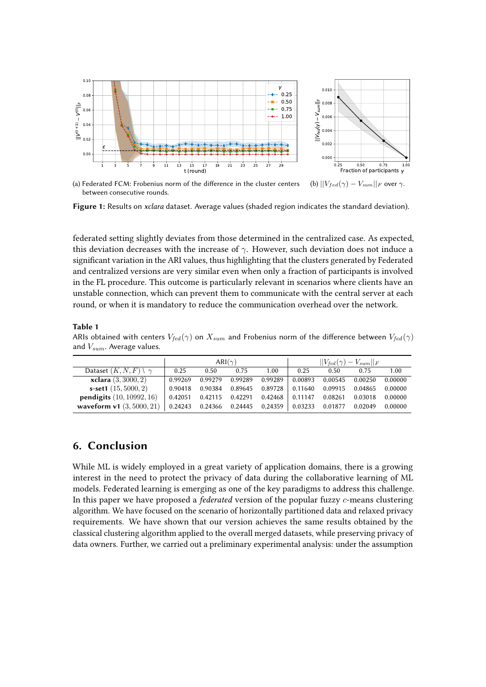<span id="page-7-3"></span><span id="page-7-2"></span>

<span id="page-7-4"></span>(a) Federated FCM: Frobenius norm of the difference in the cluster centers between consecutive rounds. (b)  $||V_{fed}(\gamma) - V_{sum}||_F$  over  $\gamma$ .

**Figure 1:** Results on *xclara* dataset. Average values (shaded region indicates the standard deviation).

federated setting slightly deviates from those determined in the centralized case. As expected, this deviation decreases with the increase of  $\gamma$ . However, such deviation does not induce a significant variation in the ARI values, thus highlighting that the clusters generated by Federated and centralized versions are very similar even when only a fraction of participants is involved in the FL procedure. This outcome is particularly relevant in scenarios where clients have an unstable connection, which can prevent them to communicate with the central server at each round, or when it is mandatory to reduce the communication overhead over the network.

### <span id="page-7-1"></span>**Table 1**

ARIs obtained with centers  $V_{fed}(\gamma)$  on  $X_{sum}$  and Frobenius norm of the difference between  $V_{fed}(\gamma)$ and  $V_{sum}$ . Average values.

|                                      | ARI $(\gamma)$ |         |         |                                           | $  V_{fed}(\gamma) - V_{sum}  _F$ |         |         |         |
|--------------------------------------|----------------|---------|---------|-------------------------------------------|-----------------------------------|---------|---------|---------|
| Dataset $(K, N, F) \setminus \gamma$ | 0.25           | 0.50    | 0.75    | 1.00                                      | 0.25                              | 0.50    | 0.75    | 1.00    |
| <b>xclara</b> $(3, 3000, 2)$         | 0.99269        | 0.99279 | 0.99289 | 0.99289                                   | 0.00893                           | 0.00545 | 0.00250 | 0.00000 |
| s-set1 $(15, 5000, 2)$               | 0.90418        | 0.90384 |         | 0.89645 0.89728                           | 0.11640                           | 0.09915 | 0.04865 | 0.00000 |
| <b>pendigits</b> $(10, 10992, 16)$   |                |         |         | $0.42051$ $0.42115$ $0.42291$ $0.42468$   | $\mid 0.11147$                    | 0.08261 | 0.03018 | 0.00000 |
| waveform v1 $(3,5000,21)$            |                |         |         | $0.24243$ 0.24366 0.24445 0.24359 0.03233 |                                   | 0.01877 | 0.02049 | 0.00000 |

## <span id="page-7-0"></span>**6. Conclusion**

While ML is widely employed in a great variety of application domains, there is a growing interest in the need to protect the privacy of data during the collaborative learning of ML models. Federated learning is emerging as one of the key paradigms to address this challenge. In this paper we have proposed a *federated* version of the popular fuzzy c-means clustering algorithm. We have focused on the scenario of horizontally partitioned data and relaxed privacy requirements. We have shown that our version achieves the same results obtained by the classical clustering algorithm applied to the overall merged datasets, while preserving privacy of data owners. Further, we carried out a preliminary experimental analysis: under the assumption